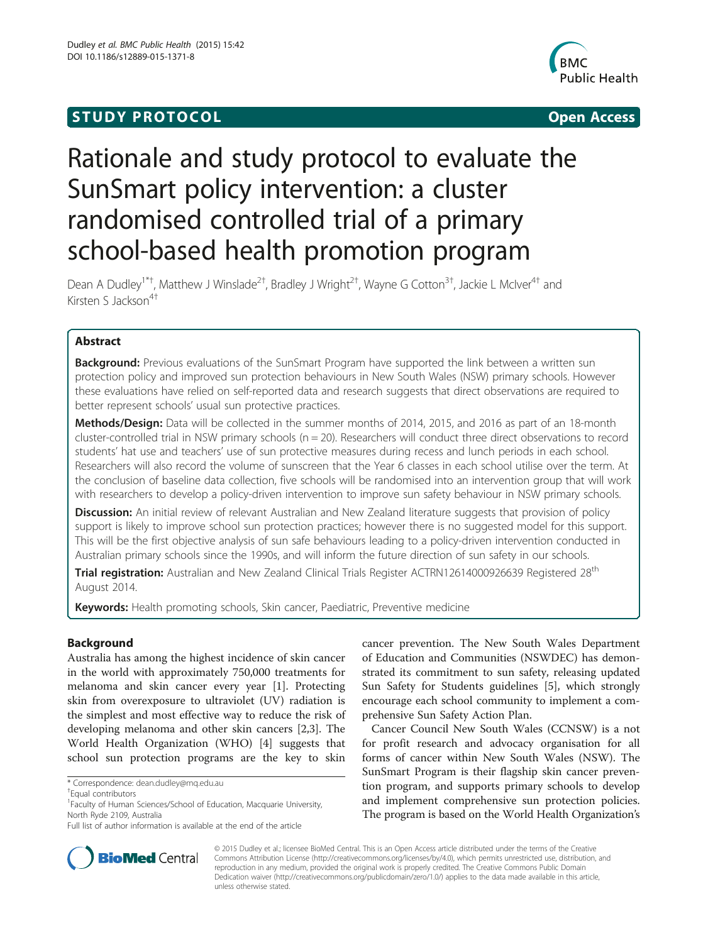# **STUDY PROTOCOL CONSUMING THE STUDY PROTOCOL**



# Rationale and study protocol to evaluate the SunSmart policy intervention: a cluster randomised controlled trial of a primary school-based health promotion program

Dean A Dudley<sup>1\*†</sup>, Matthew J Winslade<sup>2†</sup>, Bradley J Wright<sup>2†</sup>, Wayne G Cotton<sup>3†</sup>, Jackie L McIver<sup>4†</sup> and Kirsten S Jackson<sup>4†</sup>

# Abstract

**Background:** Previous evaluations of the SunSmart Program have supported the link between a written sun protection policy and improved sun protection behaviours in New South Wales (NSW) primary schools. However these evaluations have relied on self-reported data and research suggests that direct observations are required to better represent schools' usual sun protective practices.

Methods/Design: Data will be collected in the summer months of 2014, 2015, and 2016 as part of an 18-month cluster-controlled trial in NSW primary schools ( $n = 20$ ). Researchers will conduct three direct observations to record students' hat use and teachers' use of sun protective measures during recess and lunch periods in each school. Researchers will also record the volume of sunscreen that the Year 6 classes in each school utilise over the term. At the conclusion of baseline data collection, five schools will be randomised into an intervention group that will work with researchers to develop a policy-driven intervention to improve sun safety behaviour in NSW primary schools.

Discussion: An initial review of relevant Australian and New Zealand literature suggests that provision of policy support is likely to improve school sun protection practices; however there is no suggested model for this support. This will be the first objective analysis of sun safe behaviours leading to a policy-driven intervention conducted in Australian primary schools since the 1990s, and will inform the future direction of sun safety in our schools.

Trial registration: Australian and New Zealand Clinical Trials Register [ACTRN12614000926639](https://www.anzctr.org.au/Trial/Registration/TrialReview.aspx?ACTRN=12614000926639) Registered 28<sup>th</sup> August 2014.

Keywords: Health promoting schools, Skin cancer, Paediatric, Preventive medicine

# Background

Australia has among the highest incidence of skin cancer in the world with approximately 750,000 treatments for melanoma and skin cancer every year [[1](#page-5-0)]. Protecting skin from overexposure to ultraviolet (UV) radiation is the simplest and most effective way to reduce the risk of developing melanoma and other skin cancers [\[2,3](#page-5-0)]. The World Health Organization (WHO) [\[4](#page-5-0)] suggests that school sun protection programs are the key to skin

cancer prevention. The New South Wales Department of Education and Communities (NSWDEC) has demonstrated its commitment to sun safety, releasing updated Sun Safety for Students guidelines [\[5\]](#page-5-0), which strongly encourage each school community to implement a comprehensive Sun Safety Action Plan.

Cancer Council New South Wales (CCNSW) is a not for profit research and advocacy organisation for all forms of cancer within New South Wales (NSW). The SunSmart Program is their flagship skin cancer prevention program, and supports primary schools to develop and implement comprehensive sun protection policies. The program is based on the World Health Organization's



© 2015 Dudley et al.; licensee BioMed Central. This is an Open Access article distributed under the terms of the Creative Commons Attribution License [\(http://creativecommons.org/licenses/by/4.0\)](http://creativecommons.org/licenses/by/4.0), which permits unrestricted use, distribution, and reproduction in any medium, provided the original work is properly credited. The Creative Commons Public Domain Dedication waiver [\(http://creativecommons.org/publicdomain/zero/1.0/](http://creativecommons.org/publicdomain/zero/1.0/)) applies to the data made available in this article, unless otherwise stated.

<sup>\*</sup> Correspondence: [dean.dudley@mq.edu.au](mailto:dean.dudley@mq.edu.au) †

<sup>&</sup>lt;sup>+</sup>Equal contributors

<sup>&</sup>lt;sup>1</sup> Faculty of Human Sciences/School of Education, Macquarie University, North Ryde 2109, Australia

Full list of author information is available at the end of the article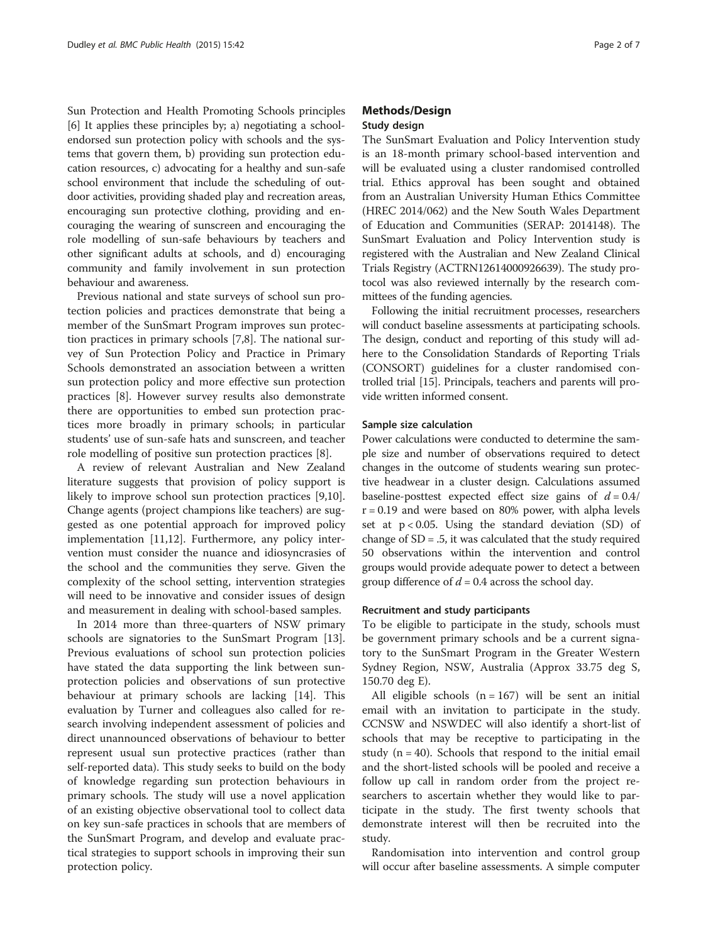Sun Protection and Health Promoting Schools principles [[6\]](#page-5-0) It applies these principles by; a) negotiating a schoolendorsed sun protection policy with schools and the systems that govern them, b) providing sun protection education resources, c) advocating for a healthy and sun-safe school environment that include the scheduling of outdoor activities, providing shaded play and recreation areas, encouraging sun protective clothing, providing and encouraging the wearing of sunscreen and encouraging the role modelling of sun-safe behaviours by teachers and other significant adults at schools, and d) encouraging community and family involvement in sun protection behaviour and awareness.

Previous national and state surveys of school sun protection policies and practices demonstrate that being a member of the SunSmart Program improves sun protection practices in primary schools [\[7,8](#page-5-0)]. The national survey of Sun Protection Policy and Practice in Primary Schools demonstrated an association between a written sun protection policy and more effective sun protection practices [[8](#page-5-0)]. However survey results also demonstrate there are opportunities to embed sun protection practices more broadly in primary schools; in particular students' use of sun-safe hats and sunscreen, and teacher role modelling of positive sun protection practices [[8\]](#page-5-0).

A review of relevant Australian and New Zealand literature suggests that provision of policy support is likely to improve school sun protection practices [\[9,10](#page-5-0)]. Change agents (project champions like teachers) are suggested as one potential approach for improved policy implementation [\[11,12](#page-5-0)]. Furthermore, any policy intervention must consider the nuance and idiosyncrasies of the school and the communities they serve. Given the complexity of the school setting, intervention strategies will need to be innovative and consider issues of design and measurement in dealing with school-based samples.

In 2014 more than three-quarters of NSW primary schools are signatories to the SunSmart Program [\[13](#page-5-0)]. Previous evaluations of school sun protection policies have stated the data supporting the link between sunprotection policies and observations of sun protective behaviour at primary schools are lacking [[14\]](#page-5-0). This evaluation by Turner and colleagues also called for research involving independent assessment of policies and direct unannounced observations of behaviour to better represent usual sun protective practices (rather than self-reported data). This study seeks to build on the body of knowledge regarding sun protection behaviours in primary schools. The study will use a novel application of an existing objective observational tool to collect data on key sun-safe practices in schools that are members of the SunSmart Program, and develop and evaluate practical strategies to support schools in improving their sun protection policy.

# Methods/Design Study design

The SunSmart Evaluation and Policy Intervention study is an 18-month primary school-based intervention and will be evaluated using a cluster randomised controlled trial. Ethics approval has been sought and obtained from an Australian University Human Ethics Committee (HREC 2014/062) and the New South Wales Department of Education and Communities (SERAP: 2014148). The SunSmart Evaluation and Policy Intervention study is registered with the Australian and New Zealand Clinical Trials Registry (ACTRN12614000926639). The study protocol was also reviewed internally by the research committees of the funding agencies.

Following the initial recruitment processes, researchers will conduct baseline assessments at participating schools. The design, conduct and reporting of this study will adhere to the Consolidation Standards of Reporting Trials (CONSORT) guidelines for a cluster randomised controlled trial [[15](#page-5-0)]. Principals, teachers and parents will provide written informed consent.

#### Sample size calculation

Power calculations were conducted to determine the sample size and number of observations required to detect changes in the outcome of students wearing sun protective headwear in a cluster design. Calculations assumed baseline-posttest expected effect size gains of  $d = 0.4$ /  $r = 0.19$  and were based on 80% power, with alpha levels set at  $p < 0.05$ . Using the standard deviation (SD) of change of  $SD = .5$ , it was calculated that the study required 50 observations within the intervention and control groups would provide adequate power to detect a between group difference of  $d = 0.4$  across the school day.

## Recruitment and study participants

To be eligible to participate in the study, schools must be government primary schools and be a current signatory to the SunSmart Program in the Greater Western Sydney Region, NSW, Australia (Approx 33.75 deg S, 150.70 deg E).

All eligible schools  $(n = 167)$  will be sent an initial email with an invitation to participate in the study. CCNSW and NSWDEC will also identify a short-list of schools that may be receptive to participating in the study  $(n = 40)$ . Schools that respond to the initial email and the short-listed schools will be pooled and receive a follow up call in random order from the project researchers to ascertain whether they would like to participate in the study. The first twenty schools that demonstrate interest will then be recruited into the study.

Randomisation into intervention and control group will occur after baseline assessments. A simple computer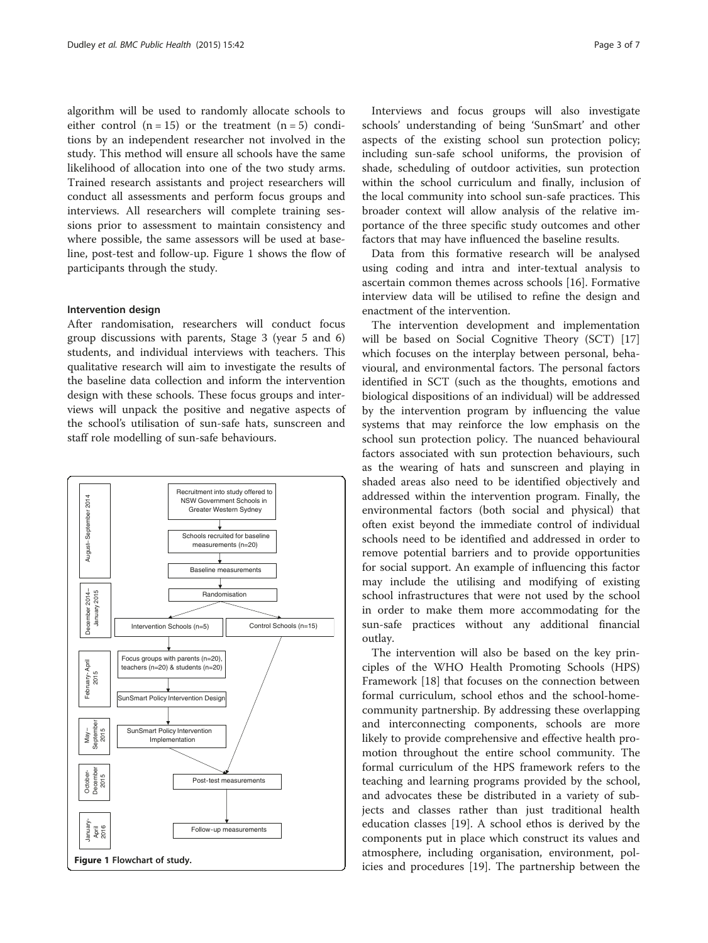algorithm will be used to randomly allocate schools to either control  $(n = 15)$  or the treatment  $(n = 5)$  conditions by an independent researcher not involved in the study. This method will ensure all schools have the same likelihood of allocation into one of the two study arms. Trained research assistants and project researchers will conduct all assessments and perform focus groups and interviews. All researchers will complete training sessions prior to assessment to maintain consistency and where possible, the same assessors will be used at baseline, post-test and follow-up. Figure 1 shows the flow of participants through the study.

#### Intervention design

After randomisation, researchers will conduct focus group discussions with parents, Stage 3 (year 5 and 6) students, and individual interviews with teachers. This qualitative research will aim to investigate the results of the baseline data collection and inform the intervention design with these schools. These focus groups and interviews will unpack the positive and negative aspects of the school's utilisation of sun-safe hats, sunscreen and staff role modelling of sun-safe behaviours.



Interviews and focus groups will also investigate schools' understanding of being 'SunSmart' and other aspects of the existing school sun protection policy; including sun-safe school uniforms, the provision of shade, scheduling of outdoor activities, sun protection within the school curriculum and finally, inclusion of the local community into school sun-safe practices. This broader context will allow analysis of the relative importance of the three specific study outcomes and other factors that may have influenced the baseline results.

Data from this formative research will be analysed using coding and intra and inter-textual analysis to ascertain common themes across schools [\[16](#page-5-0)]. Formative interview data will be utilised to refine the design and enactment of the intervention.

The intervention development and implementation will be based on Social Cognitive Theory (SCT) [[17](#page-5-0)] which focuses on the interplay between personal, behavioural, and environmental factors. The personal factors identified in SCT (such as the thoughts, emotions and biological dispositions of an individual) will be addressed by the intervention program by influencing the value systems that may reinforce the low emphasis on the school sun protection policy. The nuanced behavioural factors associated with sun protection behaviours, such as the wearing of hats and sunscreen and playing in shaded areas also need to be identified objectively and addressed within the intervention program. Finally, the environmental factors (both social and physical) that often exist beyond the immediate control of individual schools need to be identified and addressed in order to remove potential barriers and to provide opportunities for social support. An example of influencing this factor may include the utilising and modifying of existing school infrastructures that were not used by the school in order to make them more accommodating for the sun-safe practices without any additional financial outlay.

The intervention will also be based on the key principles of the WHO Health Promoting Schools (HPS) Framework [[18](#page-5-0)] that focuses on the connection between formal curriculum, school ethos and the school-homecommunity partnership. By addressing these overlapping and interconnecting components, schools are more likely to provide comprehensive and effective health promotion throughout the entire school community. The formal curriculum of the HPS framework refers to the teaching and learning programs provided by the school, and advocates these be distributed in a variety of subjects and classes rather than just traditional health education classes [[19\]](#page-5-0). A school ethos is derived by the components put in place which construct its values and atmosphere, including organisation, environment, policies and procedures [[19\]](#page-5-0). The partnership between the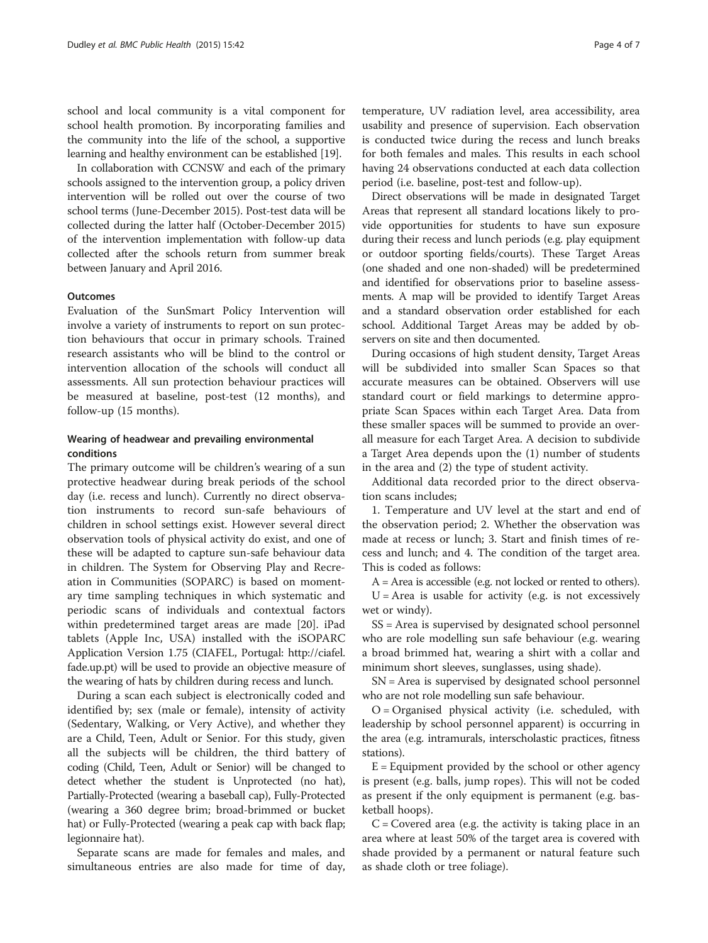school and local community is a vital component for school health promotion. By incorporating families and the community into the life of the school, a supportive learning and healthy environment can be established [[19](#page-5-0)].

In collaboration with CCNSW and each of the primary schools assigned to the intervention group, a policy driven intervention will be rolled out over the course of two school terms (June-December 2015). Post-test data will be collected during the latter half (October-December 2015) of the intervention implementation with follow-up data collected after the schools return from summer break between January and April 2016.

#### **Outcomes**

Evaluation of the SunSmart Policy Intervention will involve a variety of instruments to report on sun protection behaviours that occur in primary schools. Trained research assistants who will be blind to the control or intervention allocation of the schools will conduct all assessments. All sun protection behaviour practices will be measured at baseline, post-test (12 months), and follow-up (15 months).

# Wearing of headwear and prevailing environmental conditions

The primary outcome will be children's wearing of a sun protective headwear during break periods of the school day (i.e. recess and lunch). Currently no direct observation instruments to record sun-safe behaviours of children in school settings exist. However several direct observation tools of physical activity do exist, and one of these will be adapted to capture sun-safe behaviour data in children. The System for Observing Play and Recreation in Communities (SOPARC) is based on momentary time sampling techniques in which systematic and periodic scans of individuals and contextual factors within predetermined target areas are made [\[20\]](#page-5-0). iPad tablets (Apple Inc, USA) installed with the iSOPARC Application Version 1.75 (CIAFEL, Portugal: [http://ciafel.](http://ciafel.fade.up.pt) [fade.up.pt\)](http://ciafel.fade.up.pt) will be used to provide an objective measure of the wearing of hats by children during recess and lunch.

During a scan each subject is electronically coded and identified by; sex (male or female), intensity of activity (Sedentary, Walking, or Very Active), and whether they are a Child, Teen, Adult or Senior. For this study, given all the subjects will be children, the third battery of coding (Child, Teen, Adult or Senior) will be changed to detect whether the student is Unprotected (no hat), Partially-Protected (wearing a baseball cap), Fully-Protected (wearing a 360 degree brim; broad-brimmed or bucket hat) or Fully-Protected (wearing a peak cap with back flap; legionnaire hat).

Separate scans are made for females and males, and simultaneous entries are also made for time of day,

temperature, UV radiation level, area accessibility, area usability and presence of supervision. Each observation is conducted twice during the recess and lunch breaks for both females and males. This results in each school having 24 observations conducted at each data collection period (i.e. baseline, post-test and follow-up).

Direct observations will be made in designated Target Areas that represent all standard locations likely to provide opportunities for students to have sun exposure during their recess and lunch periods (e.g. play equipment or outdoor sporting fields/courts). These Target Areas (one shaded and one non-shaded) will be predetermined and identified for observations prior to baseline assessments. A map will be provided to identify Target Areas and a standard observation order established for each school. Additional Target Areas may be added by observers on site and then documented.

During occasions of high student density, Target Areas will be subdivided into smaller Scan Spaces so that accurate measures can be obtained. Observers will use standard court or field markings to determine appropriate Scan Spaces within each Target Area. Data from these smaller spaces will be summed to provide an overall measure for each Target Area. A decision to subdivide a Target Area depends upon the (1) number of students in the area and (2) the type of student activity.

Additional data recorded prior to the direct observation scans includes;

1. Temperature and UV level at the start and end of the observation period; 2. Whether the observation was made at recess or lunch; 3. Start and finish times of recess and lunch; and 4. The condition of the target area. This is coded as follows:

A = Area is accessible (e.g. not locked or rented to others).

 $U =$  Area is usable for activity (e.g. is not excessively wet or windy).

SS = Area is supervised by designated school personnel who are role modelling sun safe behaviour (e.g. wearing a broad brimmed hat, wearing a shirt with a collar and minimum short sleeves, sunglasses, using shade).

SN = Area is supervised by designated school personnel who are not role modelling sun safe behaviour.

 $O =$  Organised physical activity (i.e. scheduled, with leadership by school personnel apparent) is occurring in the area (e.g. intramurals, interscholastic practices, fitness stations).

 $E =$  Equipment provided by the school or other agency is present (e.g. balls, jump ropes). This will not be coded as present if the only equipment is permanent (e.g. basketball hoops).

 $C =$  Covered area (e.g. the activity is taking place in an area where at least 50% of the target area is covered with shade provided by a permanent or natural feature such as shade cloth or tree foliage).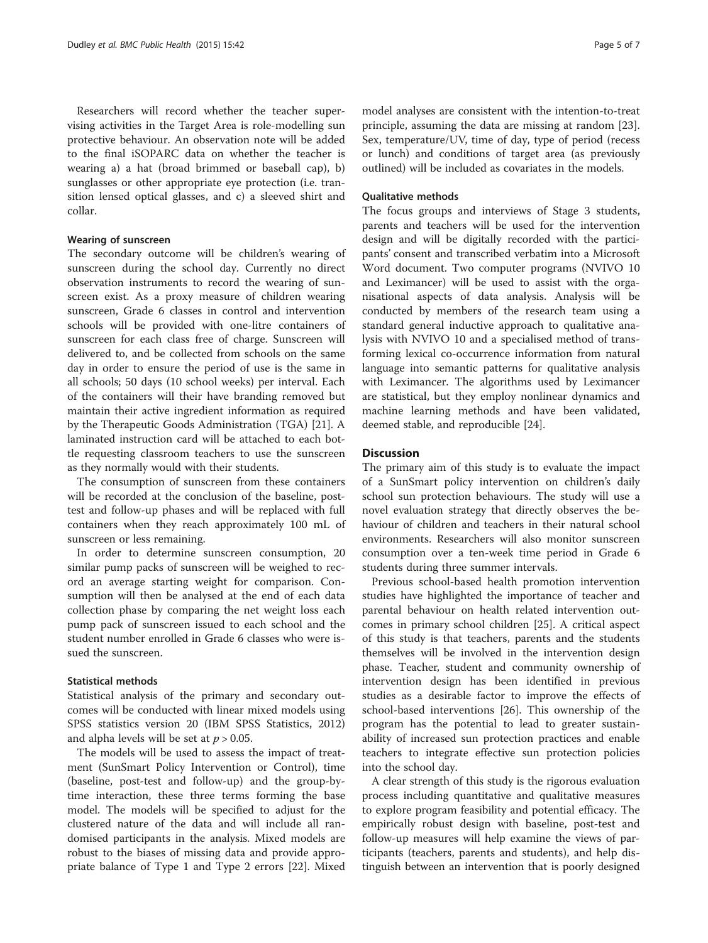Researchers will record whether the teacher supervising activities in the Target Area is role-modelling sun protective behaviour. An observation note will be added to the final iSOPARC data on whether the teacher is wearing a) a hat (broad brimmed or baseball cap), b) sunglasses or other appropriate eye protection (i.e. transition lensed optical glasses, and c) a sleeved shirt and collar.

# Wearing of sunscreen

The secondary outcome will be children's wearing of sunscreen during the school day. Currently no direct observation instruments to record the wearing of sunscreen exist. As a proxy measure of children wearing sunscreen, Grade 6 classes in control and intervention schools will be provided with one-litre containers of sunscreen for each class free of charge. Sunscreen will delivered to, and be collected from schools on the same day in order to ensure the period of use is the same in all schools; 50 days (10 school weeks) per interval. Each of the containers will their have branding removed but maintain their active ingredient information as required by the Therapeutic Goods Administration (TGA) [\[21](#page-6-0)]. A laminated instruction card will be attached to each bottle requesting classroom teachers to use the sunscreen as they normally would with their students.

The consumption of sunscreen from these containers will be recorded at the conclusion of the baseline, posttest and follow-up phases and will be replaced with full containers when they reach approximately 100 mL of sunscreen or less remaining.

In order to determine sunscreen consumption, 20 similar pump packs of sunscreen will be weighed to record an average starting weight for comparison. Consumption will then be analysed at the end of each data collection phase by comparing the net weight loss each pump pack of sunscreen issued to each school and the student number enrolled in Grade 6 classes who were issued the sunscreen.

#### Statistical methods

Statistical analysis of the primary and secondary outcomes will be conducted with linear mixed models using SPSS statistics version 20 (IBM SPSS Statistics, 2012) and alpha levels will be set at  $p > 0.05$ .

The models will be used to assess the impact of treatment (SunSmart Policy Intervention or Control), time (baseline, post-test and follow-up) and the group-bytime interaction, these three terms forming the base model. The models will be specified to adjust for the clustered nature of the data and will include all randomised participants in the analysis. Mixed models are robust to the biases of missing data and provide appropriate balance of Type 1 and Type 2 errors [[22](#page-6-0)]. Mixed

model analyses are consistent with the intention-to-treat principle, assuming the data are missing at random [\[23](#page-6-0)]. Sex, temperature/UV, time of day, type of period (recess or lunch) and conditions of target area (as previously outlined) will be included as covariates in the models.

#### Qualitative methods

The focus groups and interviews of Stage 3 students, parents and teachers will be used for the intervention design and will be digitally recorded with the participants' consent and transcribed verbatim into a Microsoft Word document. Two computer programs (NVIVO 10 and Leximancer) will be used to assist with the organisational aspects of data analysis. Analysis will be conducted by members of the research team using a standard general inductive approach to qualitative analysis with NVIVO 10 and a specialised method of transforming lexical co-occurrence information from natural language into semantic patterns for qualitative analysis with Leximancer. The algorithms used by Leximancer are statistical, but they employ nonlinear dynamics and machine learning methods and have been validated, deemed stable, and reproducible [[24](#page-6-0)].

# **Discussion**

The primary aim of this study is to evaluate the impact of a SunSmart policy intervention on children's daily school sun protection behaviours. The study will use a novel evaluation strategy that directly observes the behaviour of children and teachers in their natural school environments. Researchers will also monitor sunscreen consumption over a ten-week time period in Grade 6 students during three summer intervals.

Previous school-based health promotion intervention studies have highlighted the importance of teacher and parental behaviour on health related intervention outcomes in primary school children [\[25\]](#page-6-0). A critical aspect of this study is that teachers, parents and the students themselves will be involved in the intervention design phase. Teacher, student and community ownership of intervention design has been identified in previous studies as a desirable factor to improve the effects of school-based interventions [[26\]](#page-6-0). This ownership of the program has the potential to lead to greater sustainability of increased sun protection practices and enable teachers to integrate effective sun protection policies into the school day.

A clear strength of this study is the rigorous evaluation process including quantitative and qualitative measures to explore program feasibility and potential efficacy. The empirically robust design with baseline, post-test and follow-up measures will help examine the views of participants (teachers, parents and students), and help distinguish between an intervention that is poorly designed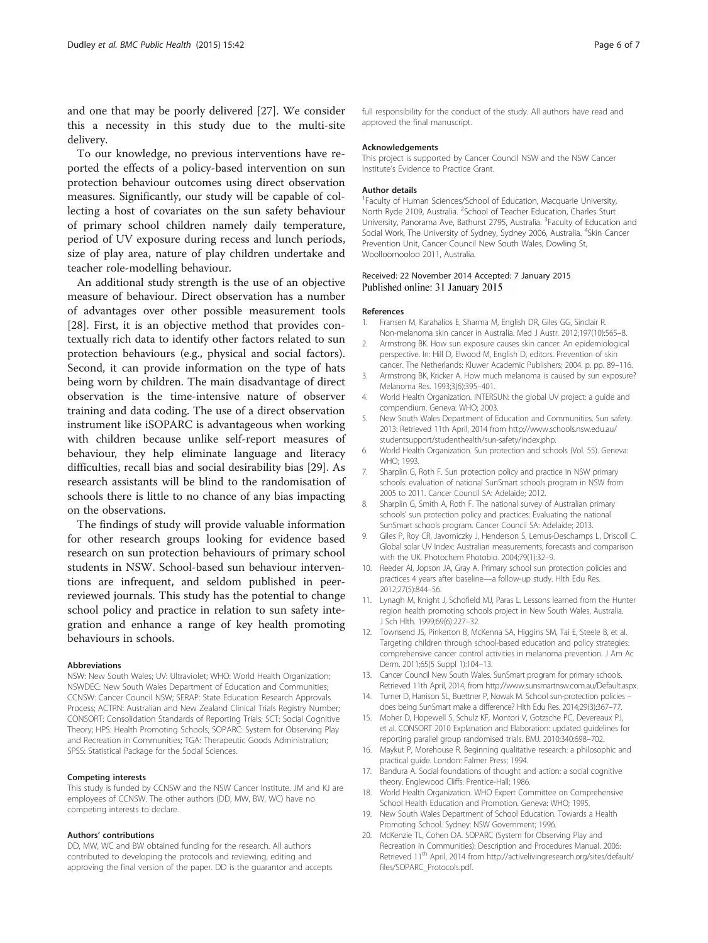<span id="page-5-0"></span>and one that may be poorly delivered [[27](#page-6-0)]. We consider this a necessity in this study due to the multi-site delivery.

To our knowledge, no previous interventions have reported the effects of a policy-based intervention on sun protection behaviour outcomes using direct observation measures. Significantly, our study will be capable of collecting a host of covariates on the sun safety behaviour of primary school children namely daily temperature, period of UV exposure during recess and lunch periods, size of play area, nature of play children undertake and teacher role-modelling behaviour.

An additional study strength is the use of an objective measure of behaviour. Direct observation has a number of advantages over other possible measurement tools [[28\]](#page-6-0). First, it is an objective method that provides contextually rich data to identify other factors related to sun protection behaviours (e.g., physical and social factors). Second, it can provide information on the type of hats being worn by children. The main disadvantage of direct observation is the time-intensive nature of observer training and data coding. The use of a direct observation instrument like iSOPARC is advantageous when working with children because unlike self-report measures of behaviour, they help eliminate language and literacy difficulties, recall bias and social desirability bias [[29](#page-6-0)]. As research assistants will be blind to the randomisation of schools there is little to no chance of any bias impacting on the observations.

The findings of study will provide valuable information for other research groups looking for evidence based research on sun protection behaviours of primary school students in NSW. School-based sun behaviour interventions are infrequent, and seldom published in peerreviewed journals. This study has the potential to change school policy and practice in relation to sun safety integration and enhance a range of key health promoting behaviours in schools.

#### Abbreviations

NSW: New South Wales; UV: Ultraviolet; WHO: World Health Organization; NSWDEC: New South Wales Department of Education and Communities; CCNSW: Cancer Council NSW; SERAP: State Education Research Approvals Process; ACTRN: Australian and New Zealand Clinical Trials Registry Number; CONSORT: Consolidation Standards of Reporting Trials; SCT: Social Cognitive Theory; HPS: Health Promoting Schools; SOPARC: System for Observing Play and Recreation in Communities; TGA: Therapeutic Goods Administration; SPSS: Statistical Package for the Social Sciences.

#### Competing interests

This study is funded by CCNSW and the NSW Cancer Institute. JM and KJ are employees of CCNSW. The other authors (DD, MW, BW, WC) have no competing interests to declare.

#### Authors' contributions

DD, MW, WC and BW obtained funding for the research. All authors contributed to developing the protocols and reviewing, editing and approving the final version of the paper. DD is the guarantor and accepts

full responsibility for the conduct of the study. All authors have read and approved the final manuscript.

#### Acknowledgements

This project is supported by Cancer Council NSW and the NSW Cancer Institute's Evidence to Practice Grant.

#### Author details

1 Faculty of Human Sciences/School of Education, Macquarie University, North Ryde 2109, Australia. <sup>2</sup>School of Teacher Education, Charles Sturt University, Panorama Ave, Bathurst 2795, Australia. <sup>3</sup> Faculty of Education and Social Work, The University of Sydney, Sydney 2006, Australia. <sup>4</sup>Skin Cancer Prevention Unit, Cancer Council New South Wales, Dowling St, Woolloomooloo 2011, Australia.

#### Received: 22 November 2014 Accepted: 7 January 2015 Published online: 31 January 2015

#### References

- 1. Fransen M, Karahalios E, Sharma M, English DR, Giles GG, Sinclair R. Non-melanoma skin cancer in Australia. Med J Austr. 2012;197(10):565–8.
- 2. Armstrong BK. How sun exposure causes skin cancer: An epidemiological perspective. In: Hill D, Elwood M, English D, editors. Prevention of skin cancer. The Netherlands: Kluwer Academic Publishers; 2004. p. pp. 89–116.
- 3. Armstrong BK, Kricker A. How much melanoma is caused by sun exposure? Melanoma Res. 1993;3(6):395–401.
- 4. World Health Organization. INTERSUN: the global UV project: a guide and compendium. Geneva: WHO; 2003.
- 5. New South Wales Department of Education and Communities. Sun safety. 2013: Retrieved 11th April, 2014 from [http://www.schools.nsw.edu.au/](http://www.schools.nsw.edu.au/studentsupport/studenthealth/sun-safety/index.php) [studentsupport/studenthealth/sun-safety/index.php.](http://www.schools.nsw.edu.au/studentsupport/studenthealth/sun-safety/index.php)
- 6. World Health Organization. Sun protection and schools (Vol. 55). Geneva: WHO; 1993.
- 7. Sharplin G, Roth F. Sun protection policy and practice in NSW primary schools: evaluation of national SunSmart schools program in NSW from 2005 to 2011. Cancer Council SA: Adelaide; 2012.
- 8. Sharplin G, Smith A, Roth F. The national survey of Australian primary schools' sun protection policy and practices: Evaluating the national SunSmart schools program. Cancer Council SA: Adelaide; 2013.
- 9. Giles P, Roy CR, Javorniczky J, Henderson S, Lemus-Deschamps L, Driscoll C. Global solar UV Index: Australian measurements, forecasts and comparison with the UK. Photochem Photobio. 2004;79(1):32–9.
- 10. Reeder AI, Jopson JA, Gray A. Primary school sun protection policies and practices 4 years after baseline—a follow-up study. Hlth Edu Res. 2012;27(5):844–56.
- 11. Lynagh M, Knight J, Schofield MJ, Paras L. Lessons learned from the Hunter region health promoting schools project in New South Wales, Australia. J Sch Hlth. 1999;69(6):227–32.
- 12. Townsend JS, Pinkerton B, McKenna SA, Higgins SM, Tai E, Steele B, et al. Targeting children through school-based education and policy strategies: comprehensive cancer control activities in melanoma prevention. J Am Ac Derm. 2011;65(5 Suppl 1):104–13.
- 13. Cancer Council New South Wales. SunSmart program for primary schools. Retrieved 11th April, 2014, from [http://www.sunsmartnsw.com.au/Default.aspx.](http://www.sunsmartnsw.com.au/Default.aspx)
- 14. Turner D, Harrison SL, Buettner P, Nowak M. School sun-protection policies does being SunSmart make a difference? Hlth Edu Res. 2014;29(3):367–77.
- 15. Moher D, Hopewell S, Schulz KF, Montori V, Gotzsche PC, Devereaux PJ, et al. CONSORT 2010 Explanation and Elaboration: updated guidelines for reporting parallel group randomised trials. BMJ. 2010;340:698–702.
- 16. Maykut P, Morehouse R. Beginning qualitative research: a philosophic and practical guide. London: Falmer Press; 1994.
- 17. Bandura A. Social foundations of thought and action: a social cognitive theory. Englewood Cliffs: Prentice-Hall; 1986.
- 18. World Health Organization. WHO Expert Committee on Comprehensive School Health Education and Promotion. Geneva: WHO; 1995.
- 19. New South Wales Department of School Education. Towards a Health Promoting School. Sydney: NSW Government; 1996.
- 20. McKenzie TL, Cohen DA. SOPARC (System for Observing Play and Recreation in Communities): Description and Procedures Manual. 2006: Retrieved 11<sup>th</sup> April, 2014 from [http://activelivingresearch.org/sites/default/](http://activelivingresearch.org/sites/default/files/SOPARC_Protocols.pdf) [files/SOPARC\\_Protocols.pdf.](http://activelivingresearch.org/sites/default/files/SOPARC_Protocols.pdf)